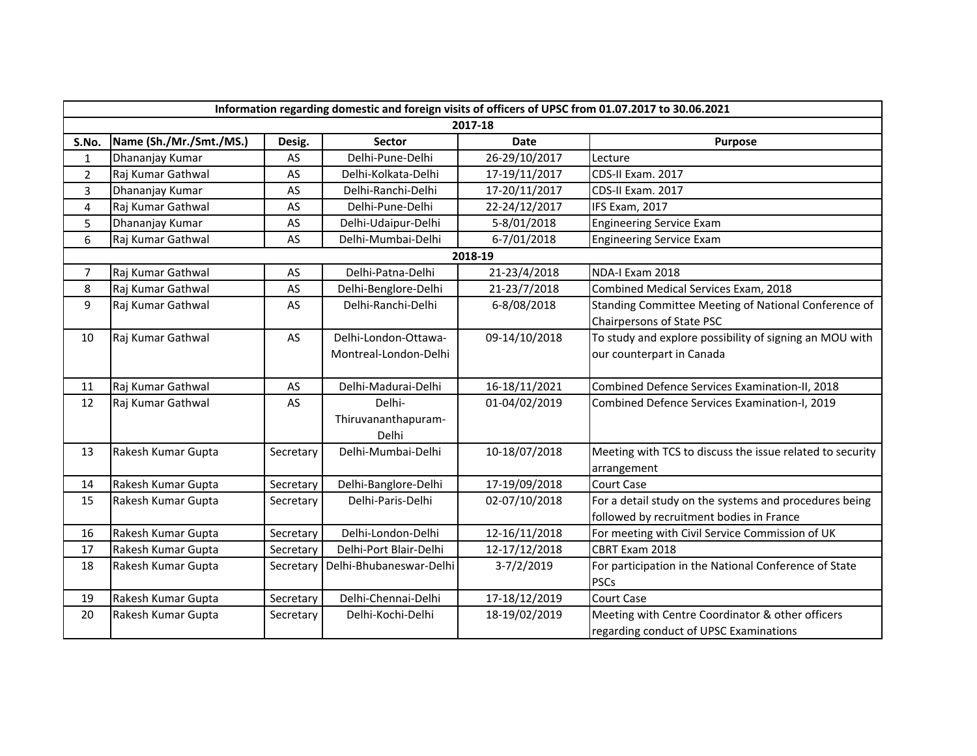|                  | Information regarding domestic and foreign visits of officers of UPSC from 01.07.2017 to 30.06.2021 |           |                         |               |                                                           |  |  |  |  |  |
|------------------|-----------------------------------------------------------------------------------------------------|-----------|-------------------------|---------------|-----------------------------------------------------------|--|--|--|--|--|
|                  |                                                                                                     |           |                         | 2017-18       |                                                           |  |  |  |  |  |
| S.No.            | Name (Sh./Mr./Smt./MS.)                                                                             | Desig.    | <b>Sector</b>           | <b>Date</b>   | Purpose                                                   |  |  |  |  |  |
| 1                | Dhananjay Kumar                                                                                     | AS        | Delhi-Pune-Delhi        | 26-29/10/2017 | Lecture                                                   |  |  |  |  |  |
| $\overline{2}$   | Raj Kumar Gathwal                                                                                   | AS        | Delhi-Kolkata-Delhi     | 17-19/11/2017 | CDS-II Exam. 2017                                         |  |  |  |  |  |
| 3                | Dhananjay Kumar                                                                                     | AS        | Delhi-Ranchi-Delhi      | 17-20/11/2017 | CDS-II Exam. 2017                                         |  |  |  |  |  |
| $\pmb{4}$        | Raj Kumar Gathwal                                                                                   | AS        | Delhi-Pune-Delhi        | 22-24/12/2017 | IFS Exam, 2017                                            |  |  |  |  |  |
| 5                | Dhananjay Kumar                                                                                     | AS        | Delhi-Udaipur-Delhi     | 5-8/01/2018   | <b>Engineering Service Exam</b>                           |  |  |  |  |  |
| 6                | Raj Kumar Gathwal                                                                                   | AS        | Delhi-Mumbai-Delhi      | 6-7/01/2018   | <b>Engineering Service Exam</b>                           |  |  |  |  |  |
|                  |                                                                                                     |           |                         | 2018-19       |                                                           |  |  |  |  |  |
| $\boldsymbol{7}$ | Raj Kumar Gathwal                                                                                   | AS        | Delhi-Patna-Delhi       | 21-23/4/2018  | NDA-I Exam 2018                                           |  |  |  |  |  |
| $\,8\,$          | Raj Kumar Gathwal                                                                                   | AS        | Delhi-Benglore-Delhi    | 21-23/7/2018  | Combined Medical Services Exam, 2018                      |  |  |  |  |  |
| 9                | Raj Kumar Gathwal                                                                                   | AS        | Delhi-Ranchi-Delhi      | 6-8/08/2018   | Standing Committee Meeting of National Conference of      |  |  |  |  |  |
|                  |                                                                                                     |           |                         |               | Chairpersons of State PSC                                 |  |  |  |  |  |
| 10               | Raj Kumar Gathwal                                                                                   | AS        | Delhi-London-Ottawa-    | 09-14/10/2018 | To study and explore possibility of signing an MOU with   |  |  |  |  |  |
|                  |                                                                                                     |           | Montreal-London-Delhi   |               | our counterpart in Canada                                 |  |  |  |  |  |
|                  |                                                                                                     |           |                         |               |                                                           |  |  |  |  |  |
| 11               | Raj Kumar Gathwal                                                                                   | AS        | Delhi-Madurai-Delhi     | 16-18/11/2021 | Combined Defence Services Examination-II, 2018            |  |  |  |  |  |
| 12               | Raj Kumar Gathwal                                                                                   | AS        | Delhi-                  | 01-04/02/2019 | Combined Defence Services Examination-I, 2019             |  |  |  |  |  |
|                  |                                                                                                     |           | Thiruvananthapuram-     |               |                                                           |  |  |  |  |  |
|                  |                                                                                                     |           | Delhi                   |               |                                                           |  |  |  |  |  |
| 13               | Rakesh Kumar Gupta                                                                                  | Secretary | Delhi-Mumbai-Delhi      | 10-18/07/2018 | Meeting with TCS to discuss the issue related to security |  |  |  |  |  |
|                  |                                                                                                     |           |                         |               | arrangement                                               |  |  |  |  |  |
| 14               | Rakesh Kumar Gupta                                                                                  | Secretary | Delhi-Banglore-Delhi    | 17-19/09/2018 | Court Case                                                |  |  |  |  |  |
| 15               | Rakesh Kumar Gupta                                                                                  | Secretary | Delhi-Paris-Delhi       | 02-07/10/2018 | For a detail study on the systems and procedures being    |  |  |  |  |  |
|                  |                                                                                                     |           |                         |               | followed by recruitment bodies in France                  |  |  |  |  |  |
| 16               | Rakesh Kumar Gupta                                                                                  | Secretary | Delhi-London-Delhi      | 12-16/11/2018 | For meeting with Civil Service Commission of UK           |  |  |  |  |  |
| 17               | Rakesh Kumar Gupta                                                                                  | Secretary | Delhi-Port Blair-Delhi  | 12-17/12/2018 | CBRT Exam 2018                                            |  |  |  |  |  |
| 18               | Rakesh Kumar Gupta                                                                                  | Secretary | Delhi-Bhubaneswar-Delhi | 3-7/2/2019    | For participation in the National Conference of State     |  |  |  |  |  |
|                  |                                                                                                     |           |                         |               | <b>PSCs</b>                                               |  |  |  |  |  |
| 19               | Rakesh Kumar Gupta                                                                                  | Secretary | Delhi-Chennai-Delhi     | 17-18/12/2019 | Court Case                                                |  |  |  |  |  |
| 20               | Rakesh Kumar Gupta                                                                                  | Secretary | Delhi-Kochi-Delhi       | 18-19/02/2019 | Meeting with Centre Coordinator & other officers          |  |  |  |  |  |
|                  |                                                                                                     |           |                         |               | regarding conduct of UPSC Examinations                    |  |  |  |  |  |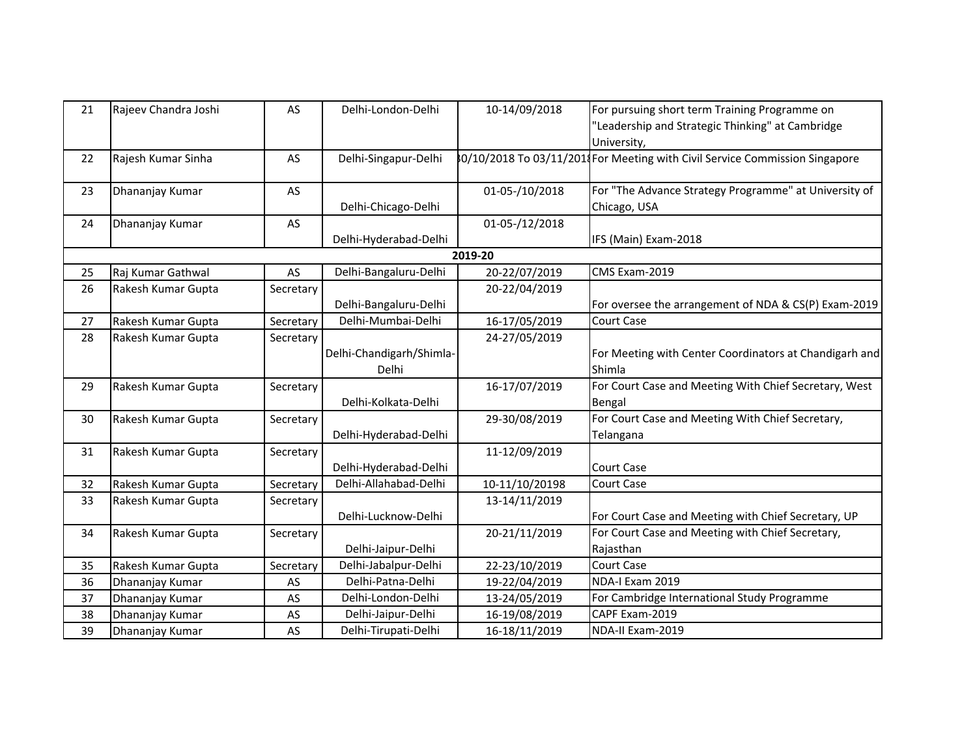| 21 | Rajeev Chandra Joshi | AS        | Delhi-London-Delhi       | 10-14/09/2018  | For pursuing short term Training Programme on<br>"Leadership and Strategic Thinking" at Cambridge |
|----|----------------------|-----------|--------------------------|----------------|---------------------------------------------------------------------------------------------------|
| 22 | Rajesh Kumar Sinha   | AS        | Delhi-Singapur-Delhi     |                | University,<br>80/10/2018 To 03/11/2014 For Meeting with Civil Service Commission Singapore       |
|    |                      |           |                          |                |                                                                                                   |
| 23 | Dhananjay Kumar      | AS        |                          | 01-05-/10/2018 | For "The Advance Strategy Programme" at University of                                             |
|    |                      |           | Delhi-Chicago-Delhi      |                | Chicago, USA                                                                                      |
| 24 | Dhananjay Kumar      | AS        |                          | 01-05-/12/2018 |                                                                                                   |
|    |                      |           | Delhi-Hyderabad-Delhi    |                | IFS (Main) Exam-2018                                                                              |
|    |                      |           |                          | 2019-20        |                                                                                                   |
| 25 | Raj Kumar Gathwal    | AS        | Delhi-Bangaluru-Delhi    | 20-22/07/2019  | CMS Exam-2019                                                                                     |
| 26 | Rakesh Kumar Gupta   | Secretary |                          | 20-22/04/2019  |                                                                                                   |
|    |                      |           | Delhi-Bangaluru-Delhi    |                | For oversee the arrangement of NDA & CS(P) Exam-2019                                              |
| 27 | Rakesh Kumar Gupta   | Secretary | Delhi-Mumbai-Delhi       | 16-17/05/2019  | <b>Court Case</b>                                                                                 |
| 28 | Rakesh Kumar Gupta   | Secretary |                          | 24-27/05/2019  |                                                                                                   |
|    |                      |           | Delhi-Chandigarh/Shimla- |                | For Meeting with Center Coordinators at Chandigarh and                                            |
|    |                      |           | Delhi                    |                | Shimla                                                                                            |
| 29 | Rakesh Kumar Gupta   | Secretary |                          | 16-17/07/2019  | For Court Case and Meeting With Chief Secretary, West                                             |
|    |                      |           | Delhi-Kolkata-Delhi      |                | Bengal                                                                                            |
| 30 | Rakesh Kumar Gupta   | Secretary |                          | 29-30/08/2019  | For Court Case and Meeting With Chief Secretary,                                                  |
|    |                      |           | Delhi-Hyderabad-Delhi    |                | Telangana                                                                                         |
| 31 | Rakesh Kumar Gupta   | Secretary |                          | 11-12/09/2019  |                                                                                                   |
|    |                      |           | Delhi-Hyderabad-Delhi    |                | <b>Court Case</b>                                                                                 |
| 32 | Rakesh Kumar Gupta   | Secretary | Delhi-Allahabad-Delhi    | 10-11/10/20198 | Court Case                                                                                        |
| 33 | Rakesh Kumar Gupta   | Secretary |                          | 13-14/11/2019  |                                                                                                   |
|    |                      |           | Delhi-Lucknow-Delhi      |                | For Court Case and Meeting with Chief Secretary, UP                                               |
| 34 | Rakesh Kumar Gupta   | Secretary |                          | 20-21/11/2019  | For Court Case and Meeting with Chief Secretary,                                                  |
|    |                      |           | Delhi-Jaipur-Delhi       |                | Rajasthan                                                                                         |
| 35 | Rakesh Kumar Gupta   | Secretary | Delhi-Jabalpur-Delhi     | 22-23/10/2019  | <b>Court Case</b>                                                                                 |
| 36 | Dhananjay Kumar      | AS        | Delhi-Patna-Delhi        | 19-22/04/2019  | NDA-I Exam 2019                                                                                   |
| 37 | Dhananjay Kumar      | AS        | Delhi-London-Delhi       | 13-24/05/2019  | For Cambridge International Study Programme                                                       |
| 38 | Dhananjay Kumar      | AS        | Delhi-Jaipur-Delhi       | 16-19/08/2019  | CAPF Exam-2019                                                                                    |
| 39 | Dhananjay Kumar      | AS        | Delhi-Tirupati-Delhi     | 16-18/11/2019  | NDA-II Exam-2019                                                                                  |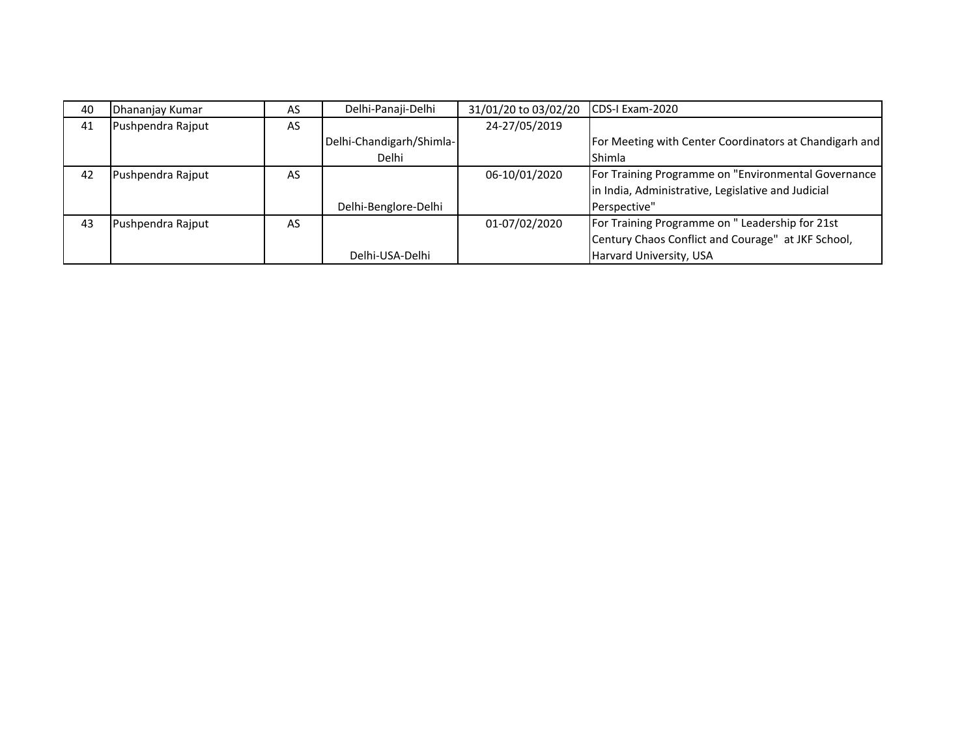| 40 | Dhananjay Kumar   | AS        | Delhi-Panaji-Delhi       | 31/01/20 to 03/02/20 | ICDS-I Exam-2020                                       |
|----|-------------------|-----------|--------------------------|----------------------|--------------------------------------------------------|
| 41 | Pushpendra Rajput | <b>AS</b> |                          | 24-27/05/2019        |                                                        |
|    |                   |           | Delhi-Chandigarh/Shimla- |                      | For Meeting with Center Coordinators at Chandigarh and |
|    |                   |           | Delhi                    |                      | Shimla                                                 |
| 42 | Pushpendra Raiput | AS        |                          | 06-10/01/2020        | For Training Programme on "Environmental Governance    |
|    |                   |           |                          |                      | in India, Administrative, Legislative and Judicial     |
|    |                   |           | Delhi-Benglore-Delhi     |                      | Perspective"                                           |
| 43 | Pushpendra Rajput | AS        |                          | 01-07/02/2020        | For Training Programme on " Leadership for 21st        |
|    |                   |           |                          |                      | Century Chaos Conflict and Courage" at JKF School,     |
|    |                   |           | Delhi-USA-Delhi          |                      | Harvard University, USA                                |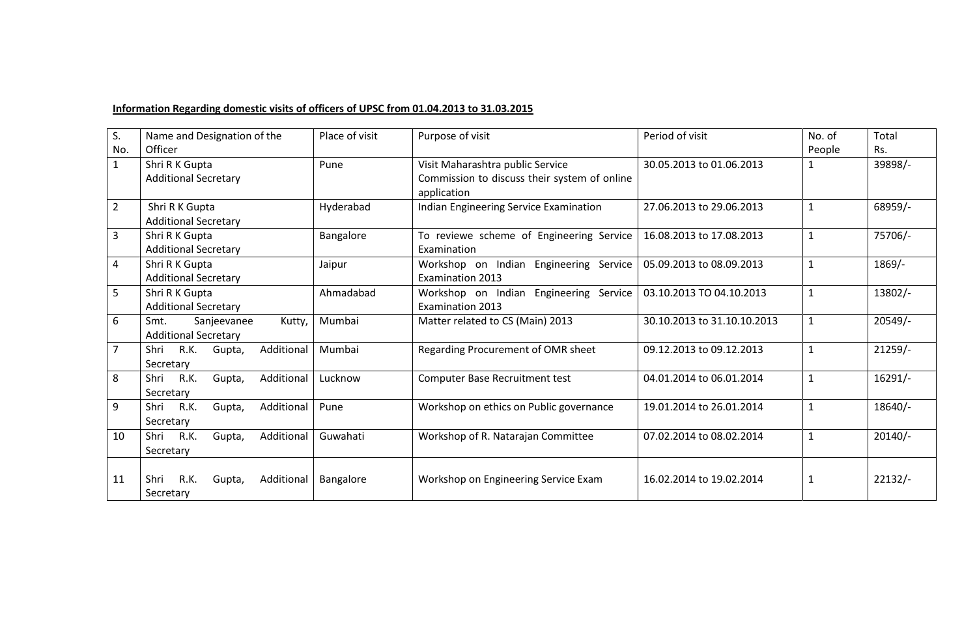## **Information Regarding domestic visits of officers of UPSC from 01.04.2013 to 31.03.2015**

| S.             | Name and Designation of the                                  | Place of visit | Purpose of visit                                                                                | Period of visit             | No. of       | Total     |
|----------------|--------------------------------------------------------------|----------------|-------------------------------------------------------------------------------------------------|-----------------------------|--------------|-----------|
| No.            | Officer                                                      |                |                                                                                                 |                             | People       | Rs.       |
| $\mathbf{1}$   | Shri R K Gupta<br><b>Additional Secretary</b>                | Pune           | Visit Maharashtra public Service<br>Commission to discuss their system of online<br>application | 30.05.2013 to 01.06.2013    |              | 39898/-   |
| $\overline{2}$ | Shri R K Gupta<br><b>Additional Secretary</b>                | Hyderabad      | Indian Engineering Service Examination                                                          | 27.06.2013 to 29.06.2013    | $\mathbf{1}$ | 68959/-   |
| 3              | Shri R K Gupta<br><b>Additional Secretary</b>                | Bangalore      | To reviewe scheme of Engineering Service<br>Examination                                         | 16.08.2013 to 17.08.2013    | $\mathbf{1}$ | 75706/-   |
| 4              | Shri R K Gupta<br><b>Additional Secretary</b>                | Jaipur         | Workshop on Indian Engineering Service<br><b>Examination 2013</b>                               | 05.09.2013 to 08.09.2013    | 1            | $1869/-$  |
| 5              | Shri R K Gupta<br><b>Additional Secretary</b>                | Ahmadabad      | Workshop on Indian Engineering Service<br><b>Examination 2013</b>                               | 03.10.2013 TO 04.10.2013    | $\mathbf{1}$ | 13802/-   |
| 6              | Smt.<br>Kutty,<br>Sanjeevanee<br><b>Additional Secretary</b> | Mumbai         | Matter related to CS (Main) 2013                                                                | 30.10.2013 to 31.10.10.2013 | $\mathbf{1}$ | $20549/-$ |
| $\overline{7}$ | R.K.<br>Shri<br>Additional<br>Gupta,<br>Secretary            | Mumbai         | Regarding Procurement of OMR sheet                                                              | 09.12.2013 to 09.12.2013    | $\mathbf{1}$ | $21259/-$ |
| 8              | Shri<br>R.K.<br>Additional<br>Gupta,<br>Secretary            | Lucknow        | Computer Base Recruitment test                                                                  | 04.01.2014 to 06.01.2014    | $\mathbf{1}$ | $16291/-$ |
| 9              | R.K.<br>Additional<br>Shri<br>Gupta,<br>Secretary            | Pune           | Workshop on ethics on Public governance                                                         | 19.01.2014 to 26.01.2014    | $\mathbf{1}$ | 18640/-   |
| 10             | R.K.<br>Additional<br>Shri<br>Gupta,<br>Secretary            | Guwahati       | Workshop of R. Natarajan Committee                                                              | 07.02.2014 to 08.02.2014    | $\mathbf{1}$ | $20140/-$ |
| 11             | Shri<br>R.K.<br>Additional<br>Gupta,<br>Secretary            | Bangalore      | Workshop on Engineering Service Exam                                                            | 16.02.2014 to 19.02.2014    | 1            | $22132/-$ |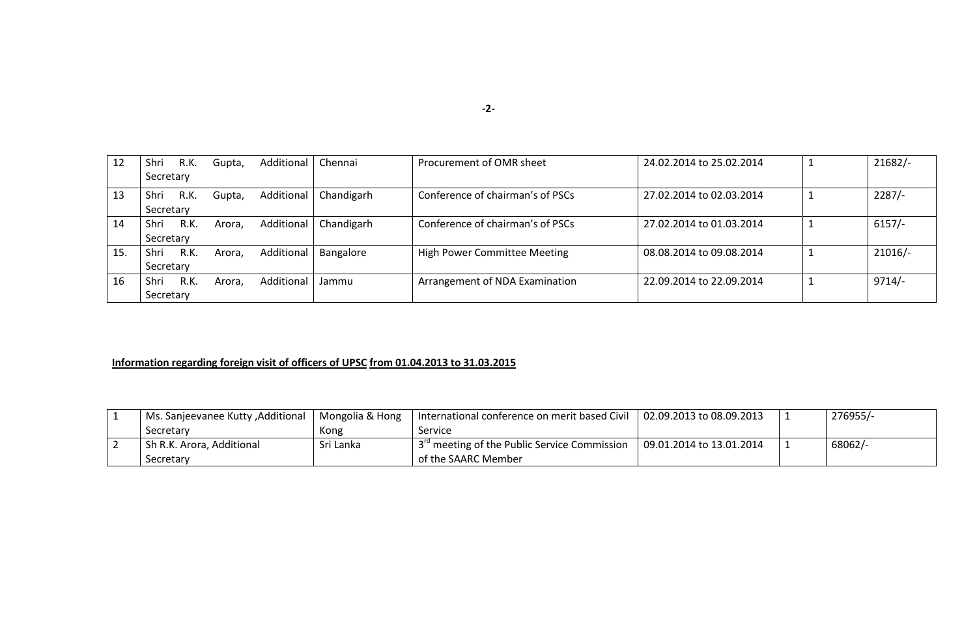| 12  | Shri      | R.K. | Gupta, | Additional | Chennai    | Procurement of OMR sheet            | 24.02.2014 to 25.02.2014 |  | $21682/-$ |
|-----|-----------|------|--------|------------|------------|-------------------------------------|--------------------------|--|-----------|
|     | Secretary |      |        |            |            |                                     |                          |  |           |
| 13  | Shri      | R.K. | Gupta, | Additional | Chandigarh | Conference of chairman's of PSCs    | 27.02.2014 to 02.03.2014 |  | 2287/     |
|     | Secretary |      |        |            |            |                                     |                          |  |           |
| 14  | Shri      | R.K. | Arora. | Additional | Chandigarh | Conference of chairman's of PSCs    | 27.02.2014 to 01.03.2014 |  | $6157/-$  |
|     | Secretary |      |        |            |            |                                     |                          |  |           |
| 15. | Shri      | R.K. | Arora. | Additional | Bangalore  | <b>High Power Committee Meeting</b> | 08.08.2014 to 09.08.2014 |  | $21016/-$ |
|     | Secretary |      |        |            |            |                                     |                          |  |           |
| 16  | Shri      | R.K. | Arora. | Additional | Jammu      | Arrangement of NDA Examination      | 22.09.2014 to 22.09.2014 |  | 9714/     |
|     | Secretary |      |        |            |            |                                     |                          |  |           |

## **Information regarding foreign visit of officers of UPSC from 01.04.2013 to 31.03.2015**

| Ms. Sanjeevanee Kutty, Additional | Mongolia & Hong | International conference on merit based Civil   $02.09.2013$ to 08.09.2013 |                          | 276955/- |
|-----------------------------------|-----------------|----------------------------------------------------------------------------|--------------------------|----------|
| Secretary                         | Kong            | Service                                                                    |                          |          |
| Sh R.K. Arora, Additional         | Sri Lanka       | 3 <sup>rd</sup> meeting of the Public Service Commission                   | 09.01.2014 to 13.01.2014 | 68062/-  |
| Secretary                         |                 | of the SAARC Member                                                        |                          |          |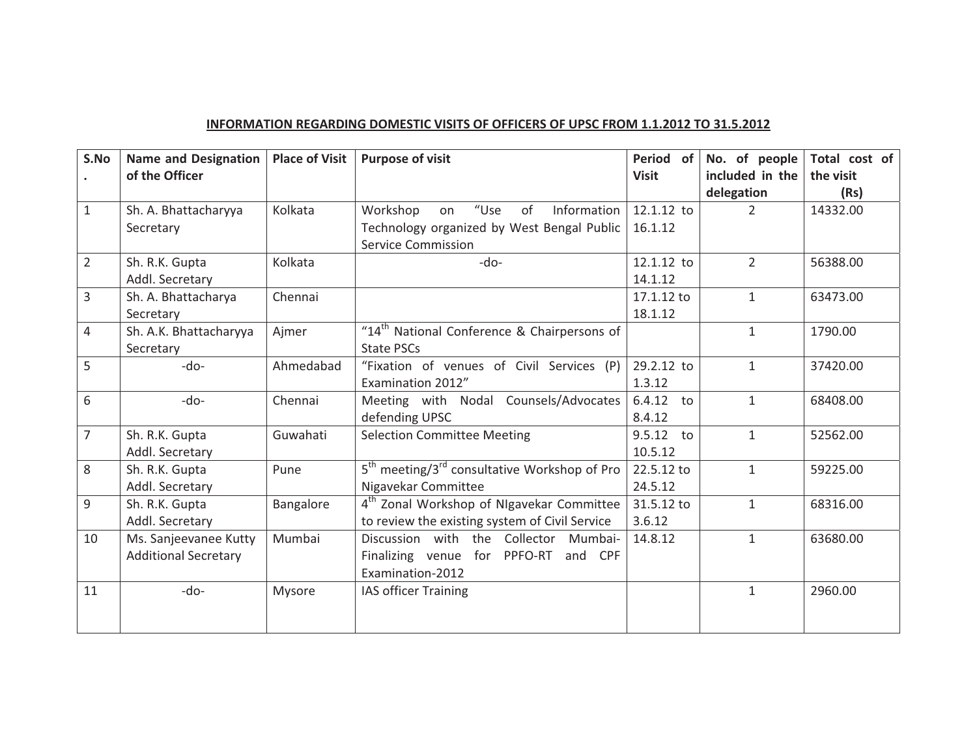#### **INFORMATION-REGARDING-DOMESTIC-VISITS-OF-OFFICERS-OF-UPSC-FROM-1.1.2012-TO-31.5.2012**

| S.No           | <b>Name and Designation</b><br>of the Officer | <b>Place of Visit</b> | <b>Purpose of visit</b>                                              | Period of<br><b>Visit</b> | No. of people<br>included in the | Total cost of<br>the visit |
|----------------|-----------------------------------------------|-----------------------|----------------------------------------------------------------------|---------------------------|----------------------------------|----------------------------|
|                |                                               |                       |                                                                      |                           | delegation                       | (Rs)                       |
| $\mathbf{1}$   | Sh. A. Bhattacharyya                          | Kolkata               | "Use<br>of<br>Information<br>Workshop<br>on                          | 12.1.12 to                | $\overline{2}$                   | 14332.00                   |
|                | Secretary                                     |                       | Technology organized by West Bengal Public                           | 16.1.12                   |                                  |                            |
|                |                                               |                       | <b>Service Commission</b>                                            |                           |                                  |                            |
| $\overline{2}$ | Sh. R.K. Gupta                                | Kolkata               | $-do-$                                                               | 12.1.12 to                | $\overline{2}$                   | 56388.00                   |
|                | Addl. Secretary                               |                       |                                                                      | 14.1.12                   |                                  |                            |
| 3              | Sh. A. Bhattacharya                           | Chennai               |                                                                      | 17.1.12 to                | $\mathbf{1}$                     | 63473.00                   |
|                | Secretary                                     |                       |                                                                      | 18.1.12                   |                                  |                            |
| $\overline{4}$ | Sh. A.K. Bhattacharyya                        | Ajmer                 | "14 <sup>th</sup> National Conference & Chairpersons of              |                           | $\mathbf{1}$                     | 1790.00                    |
|                | Secretary                                     |                       | <b>State PSCs</b>                                                    |                           |                                  |                            |
| 5              | $-do-$                                        | Ahmedabad             | "Fixation of venues of Civil Services (P)                            | 29.2.12 to                | $\mathbf{1}$                     | 37420.00                   |
|                |                                               |                       | Examination 2012"                                                    | 1.3.12                    |                                  |                            |
| 6              | $-do-$                                        | Chennai               | Meeting with Nodal Counsels/Advocates                                | 6.4.12<br>to              | $\mathbf{1}$                     | 68408.00                   |
|                |                                               |                       | defending UPSC                                                       | 8.4.12                    |                                  |                            |
| $\overline{7}$ | Sh. R.K. Gupta                                | Guwahati              | <b>Selection Committee Meeting</b>                                   | 9.5.12<br>to              | $\mathbf{1}$                     | 52562.00                   |
|                | Addl. Secretary                               |                       |                                                                      | 10.5.12                   |                                  |                            |
| 8              | Sh. R.K. Gupta                                | Pune                  | 5 <sup>th</sup> meeting/3 <sup>rd</sup> consultative Workshop of Pro | 22.5.12 to                | $\mathbf{1}$                     | 59225.00                   |
|                | Addl. Secretary                               |                       | Nigavekar Committee                                                  | 24.5.12                   |                                  |                            |
| 9              | Sh. R.K. Gupta                                | Bangalore             | 4 <sup>th</sup> Zonal Workshop of NIgavekar Committee                | 31.5.12 to                | $\mathbf{1}$                     | 68316.00                   |
|                | Addl. Secretary                               |                       | to review the existing system of Civil Service                       | 3.6.12                    |                                  |                            |
| 10             | Ms. Sanjeevanee Kutty                         | Mumbai                | Discussion with the Collector Mumbai-                                | 14.8.12                   | $\mathbf{1}$                     | 63680.00                   |
|                | <b>Additional Secretary</b>                   |                       | Finalizing venue for PPFO-RT<br>and CPF                              |                           |                                  |                            |
|                |                                               |                       | Examination-2012                                                     |                           |                                  |                            |
| 11             | -do-                                          | Mysore                | IAS officer Training                                                 |                           | $\mathbf{1}$                     | 2960.00                    |
|                |                                               |                       |                                                                      |                           |                                  |                            |
|                |                                               |                       |                                                                      |                           |                                  |                            |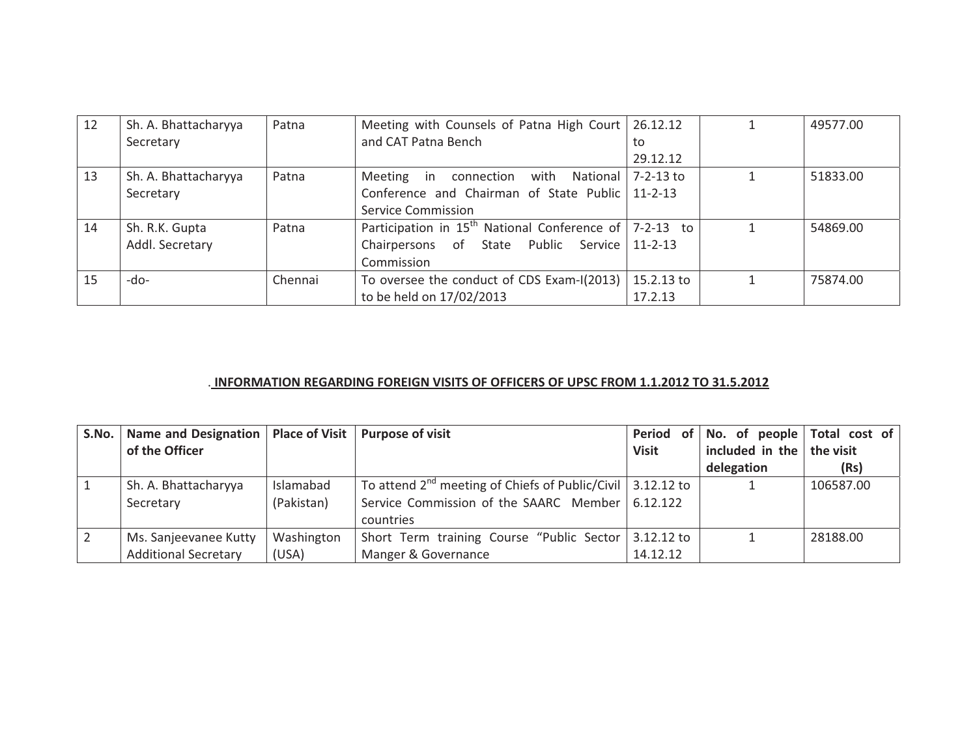| 12 | Sh. A. Bhattacharyya | Patna   | Meeting with Counsels of Patna High Court   26.12.12           |            | 49577.00 |
|----|----------------------|---------|----------------------------------------------------------------|------------|----------|
|    | Secretary            |         | and CAT Patna Bench                                            | to         |          |
|    |                      |         |                                                                | 29.12.12   |          |
| 13 | Sh. A. Bhattacharyya | Patna   | connection<br>with National $ 7-2-13$ to<br>Meeting in         |            | 51833.00 |
|    | Secretary            |         | Conference and Chairman of State Public   11-2-13              |            |          |
|    |                      |         | Service Commission                                             |            |          |
| 14 | Sh. R.K. Gupta       | Patna   | Participation in $15^{th}$ National Conference of $ 7-2-13$ to |            | 54869.00 |
|    | Addl. Secretary      |         | Chairpersons of State Public Service 11-2-13                   |            |          |
|    |                      |         | Commission                                                     |            |          |
| 15 | -do-                 | Chennai | To oversee the conduct of CDS Exam-I(2013)                     | 15.2.13 to | 75874.00 |
|    |                      |         | to be held on 17/02/2013                                       | 17.2.13    |          |

#### .**-INFORMATION-REGARDING-FOREIGN-VISITS-OF-OFFICERS-OF-UPSC-FROM-1.1.2012-TO-31.5.2012**

| S.No. | Name and Designation   Place of Visit |            | <b>Purpose of visit</b>                                           | Period       | of $\vert$ No. of people $\vert$ Total cost of $\vert$ |           |
|-------|---------------------------------------|------------|-------------------------------------------------------------------|--------------|--------------------------------------------------------|-----------|
|       | of the Officer                        |            |                                                                   | <b>Visit</b> | included in the $\vert$ the visit                      |           |
|       |                                       |            |                                                                   |              | delegation                                             | (Rs)      |
|       | Sh. A. Bhattacharyya                  | Islamabad  | To attend $2^{nd}$ meeting of Chiefs of Public/Civil   3.12.12 to |              |                                                        | 106587.00 |
|       | Secretary                             | (Pakistan) | Service Commission of the SAARC Member 6.12.122                   |              |                                                        |           |
|       |                                       |            | countries                                                         |              |                                                        |           |
|       | Ms. Sanjeevanee Kutty                 | Washington | Short Term training Course "Public Sector   3.12.12 to            |              |                                                        | 28188.00  |
|       | <b>Additional Secretary</b>           | (USA)      | Manger & Governance                                               | 14.12.12     |                                                        |           |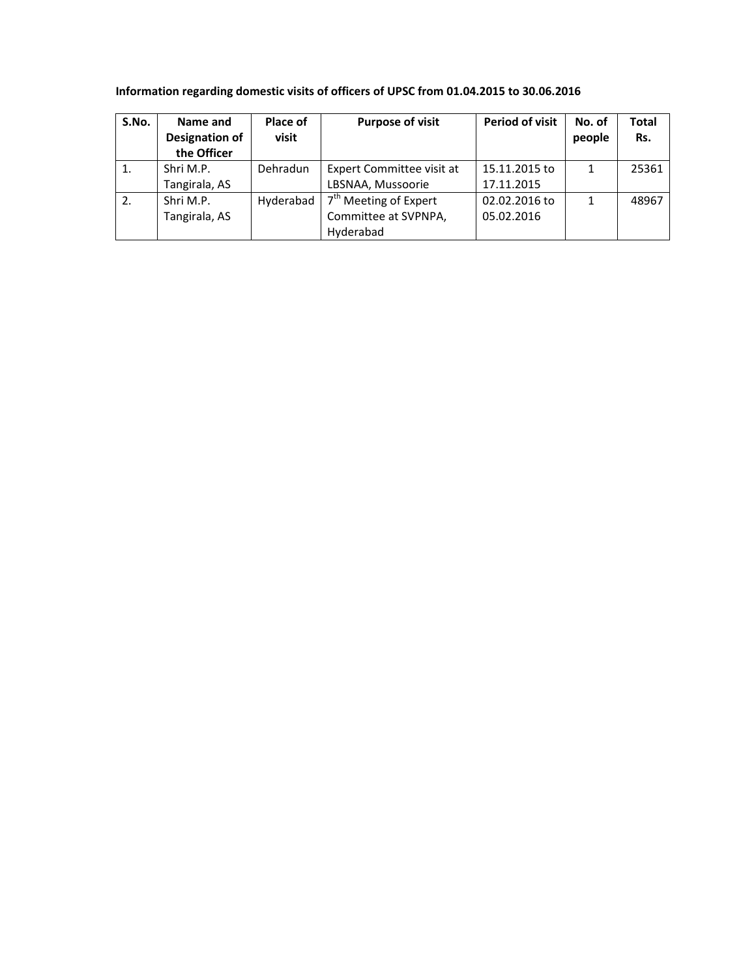# **Information regarding domestic visits of officers of UPSC from 01.04.2015 to 30.06.2016**

| S.No. | Name and              | Place of  | <b>Purpose of visit</b>           | <b>Period of visit</b> | No. of | Total |
|-------|-----------------------|-----------|-----------------------------------|------------------------|--------|-------|
|       | <b>Designation of</b> | visit     |                                   |                        | people | Rs.   |
|       | the Officer           |           |                                   |                        |        |       |
|       | Shri M.P.             | Dehradun  | Expert Committee visit at         | 15.11.2015 to          | 1      | 25361 |
|       | Tangirala, AS         |           | LBSNAA, Mussoorie                 | 17.11.2015             |        |       |
| 2.    | Shri M.P.             | Hyderabad | 7 <sup>th</sup> Meeting of Expert | 02.02.2016 to          | 1      | 48967 |
|       | Tangirala, AS         |           | Committee at SVPNPA,              | 05.02.2016             |        |       |
|       |                       |           | Hyderabad                         |                        |        |       |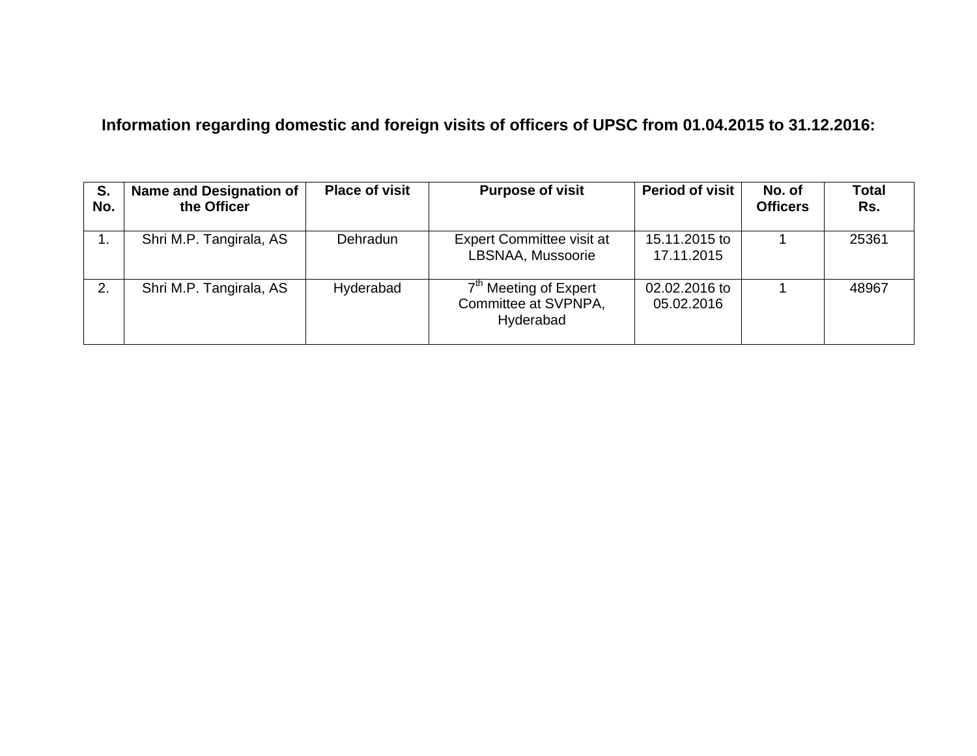# **Information regarding domestic and foreign visits of officers of UPSC from 01.04.2015 to 31.12.2016:**

| S.<br>No. | <b>Name and Designation of</b><br>the Officer | <b>Place of visit</b> | <b>Purpose of visit</b>                                                | <b>Period of visit</b>      | No. of<br><b>Officers</b> | <b>Total</b><br>Rs. |
|-----------|-----------------------------------------------|-----------------------|------------------------------------------------------------------------|-----------------------------|---------------------------|---------------------|
|           | Shri M.P. Tangirala, AS                       | Dehradun              | <b>Expert Committee visit at</b><br>LBSNAA, Mussoorie                  | 15.11.2015 to<br>17.11.2015 |                           | 25361               |
| 2.        | Shri M.P. Tangirala, AS                       | Hyderabad             | 7 <sup>th</sup> Meeting of Expert<br>Committee at SVPNPA,<br>Hyderabad | 02.02.2016 to<br>05.02.2016 |                           | 48967               |